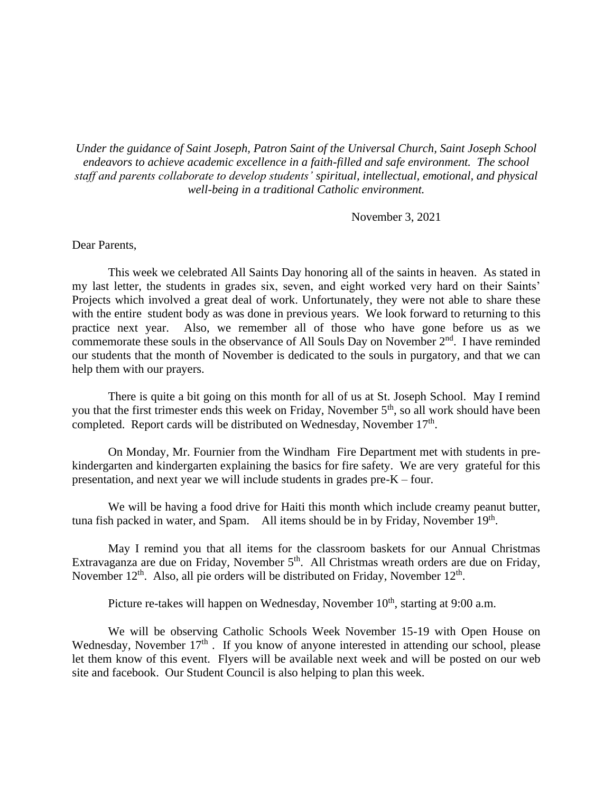*Under the guidance of Saint Joseph, Patron Saint of the Universal Church, Saint Joseph School endeavors to achieve academic excellence in a faith-filled and safe environment. The school staff and parents collaborate to develop students' spiritual, intellectual, emotional, and physical well-being in a traditional Catholic environment.*

November 3, 2021

## Dear Parents,

This week we celebrated All Saints Day honoring all of the saints in heaven. As stated in my last letter, the students in grades six, seven, and eight worked very hard on their Saints' Projects which involved a great deal of work. Unfortunately, they were not able to share these with the entire student body as was done in previous years. We look forward to returning to this practice next year. Also, we remember all of those who have gone before us as we commemorate these souls in the observance of All Souls Day on November 2<sup>nd</sup>. I have reminded our students that the month of November is dedicated to the souls in purgatory, and that we can help them with our prayers.

There is quite a bit going on this month for all of us at St. Joseph School. May I remind you that the first trimester ends this week on Friday, November 5<sup>th</sup>, so all work should have been completed. Report cards will be distributed on Wednesday, November 17<sup>th</sup>.

On Monday, Mr. Fournier from the Windham Fire Department met with students in prekindergarten and kindergarten explaining the basics for fire safety. We are very grateful for this presentation, and next year we will include students in grades pre-K – four.

We will be having a food drive for Haiti this month which include creamy peanut butter, tuna fish packed in water, and Spam. All items should be in by Friday, November  $19<sup>th</sup>$ .

May I remind you that all items for the classroom baskets for our Annual Christmas Extravaganza are due on Friday, November  $5<sup>th</sup>$ . All Christmas wreath orders are due on Friday, November  $12<sup>th</sup>$ . Also, all pie orders will be distributed on Friday, November  $12<sup>th</sup>$ .

Picture re-takes will happen on Wednesday, November  $10<sup>th</sup>$ , starting at 9:00 a.m.

We will be observing Catholic Schools Week November 15-19 with Open House on Wednesday, November  $17<sup>th</sup>$ . If you know of anyone interested in attending our school, please let them know of this event. Flyers will be available next week and will be posted on our web site and facebook. Our Student Council is also helping to plan this week.